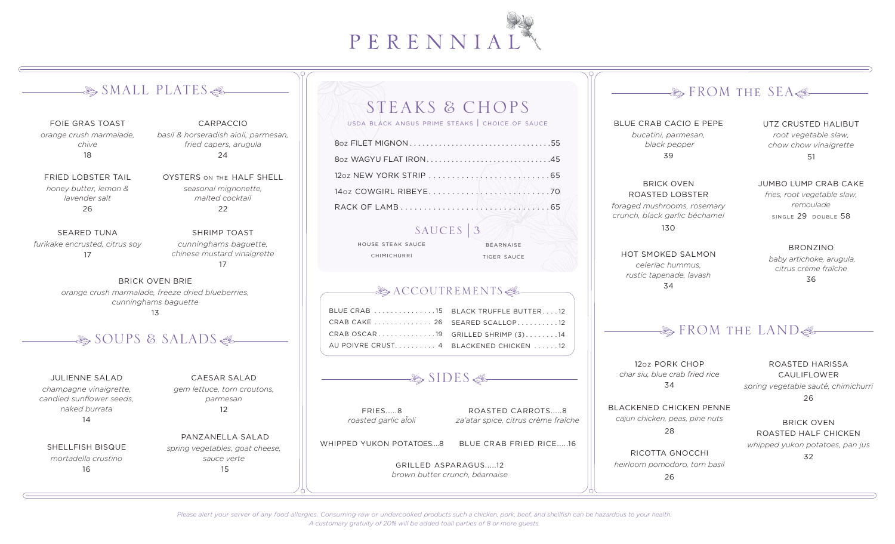

# $\clubsuit$  SMALL PLATES $\clubsuit$

FOIE GRAS TOAST *orange crush marmalade, chive* 18

FRIED LOBSTER TAIL *honey butter, lemon & lavender salt* 26

SEARED TUNA *furikake encrusted, citrus soy*  17

*fried capers, arugula* 24 OYSTERS ON THE HALF SHELL *seasonal mignonette,* 

> *malted cocktail*  22

CARPACCIO *basil & horseradish aioli, parmesan,* 

SHRIMP TOAST *cunninghams baguette, chinese mustard vinaigrette* 17

BRICK OVEN BRIE *orange crush marmalade, freeze dried blueberries, cunninghams baguette* 13

# $\clubsuit$  SOUPS & SALADS

JULIENNE SALAD *champagne vinaigrette, candied sunflower seeds, naked burrata* 14

SHELLFISH BISQUE *mortadella crustino* 16

CAESAR SALAD *gem lettuce, torn croutons, parmesan* 12

 PANZANELLA SALAD *spring vegetables, goat cheese, sauce verte* 15

### STEAKS & CHOPS usda black angus prime steaks | choice of sauce

8oz FILET MIGNON . . . . . . . . . . . . . . . . . . . . . . . . . . . . . . . . . 55 8oz WAGYU FLAT IRON . . . . . . . . . . . . . . . . . . . . . . . . . . . . . 45 12oz NEW YORK STRIP . . . . . . . . . . . . . . . . . . . . . . . . . 65 14oz COWGIRL RIBEYE . . . . . . . . . . . . . . . . . . . . . . . . . 70 RACK OF LAMB . . . . . . . . . . . . . . . . . . . . . . . . . . . . . . . 65

# SAUCES  $\vert 3 \vert$

**BÉARNAISE** 

house steak sauce chimichurri

tiger sauce

### $-\&$  ACCOUTREMENTS $\&$

| BLUE CRAB 15 BLACK TRUFFLE BUTTER 12   |                                   |
|----------------------------------------|-----------------------------------|
| CRAB CAKE 26 SEARED SCALLOP 12         |                                   |
|                                        | CRAB OSCAR19 GRILLED SHRIMP (3)14 |
| AU POIVRE CRUST 4 BLACKENED CHICKEN 12 |                                   |

## $\clubsuit$  SIDES  $\clubsuit$

FRIES.....8 *roasted garlic aÏoli*

ROASTED CARROTS.....8 *za'atar spice, citrus crème fraîche*

WHIPPED YUKON POTATOES....8 BLUE CRAB FRIED RICE.....16

> GRILLED ASPARAGUS.....12 *brown butter crunch, béarnaise*

# $\clubsuit$  FROM THE SEA $\clubsuit$

BLUE CRAB CACIO E PEPE *bucatini, parmesan, black pepper* 39

UTZ CRUSTED HALIBUT *root vegetable slaw, chow chow vinaigrette* 51

JUMBO LUMP CRAB CAKE *fries, root vegetable slaw, remoulade* single 29 double 58

BRICK OVEN ROASTED LOBSTER *foraged mushrooms, rosemary crunch, black garlic béchamel* 130

HOT SMOKED SALMON *celeriac hummus, rustic tapenade, lavash* 34

BRONZINO

 *baby artichoke, arugula, citrus crème fraîche* 36

# $\clubsuit$  FROM the LAND $\clubsuit$

12oz PORK CHOP *char siu, blue crab fried rice*  34

ROASTED HARISSA CAULIFLOWER *spring vegetable sauté, chimichurri*

26

BLACKENED CHICKEN PENNE *cajun chicken, peas, pine nuts*  28

BRICK OVEN ROASTED HALF CHICKEN *whipped yukon potatoes, pan jus* 

32

RICOTTA GNOCCHI *heirloom pomodoro, torn basil* 

26

*Please alert your server of any food allergies. Consuming raw or undercooked products such a chicken, pork, beef, and shellfish can be hazardous to your health. A customary gratuity of 20% will be added toall parties of 8 or more guests.*